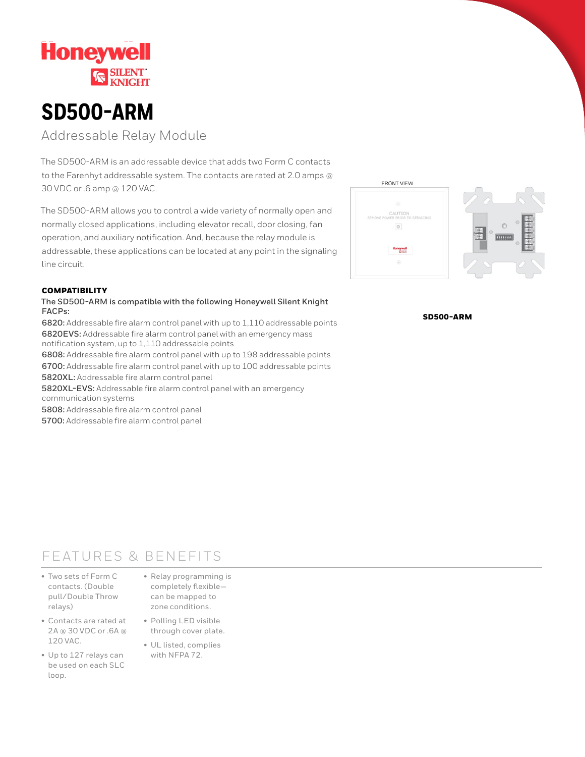

# **SD500-ARM**

Addressable Relay Module

The SD500-ARM is an addressable device that adds two Form C contacts to the Farenhyt addressable system. The contacts are rated at 2.0 amps @ 30 VDC or .6 amp @ 120 VAC.

The SD500-ARM allows you to control a wide variety of normally open and normally closed applications, including elevator recall, door closing, fan operation, and auxiliary notification. And, because the relay module is addressable, these applications can be located at any point in the signaling line circuit.

# **COMPATIBILITY**

# **The SD500-ARM is compatible with the following Honeywell Silent Knight FACPs:**

**6820:** Addressable fire alarm control panel with up to 1,110 addressable points **6820EVS:** Addressable fire alarm control panel with an emergency mass notification system, up to 1,110 addressable points

**6808:** Addressable fire alarm control panel with up to 198 addressable points **6700:** Addressable fire alarm control panel with up to 100 addressable points **5820XL:** Addressable fire alarm control panel

**5820XL-EVS:** Addressable fire alarm control panel with an emergency communication systems

**5808:** Addressable fire alarm control panel

**5700:** Addressable fire alarm control panel



SD500-ARM

# FEATURES & BENEFITS

- Two sets of Form C contacts. (Double pull/Double Throw relays)
- Contacts are rated at 2A @ 30 VDC or .6A @ 120 VAC.
- Up to 127 relays can be used on each SLC loop.
- Relay programming is completely flexible can be mapped to zone conditions.
- Polling LED visible through cover plate.
- UL listed, complies with NFPA 72.